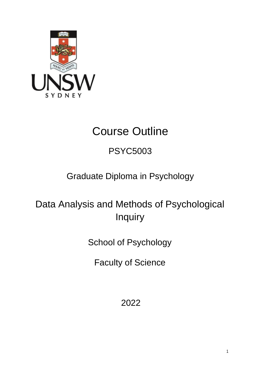

# Course Outline

## PSYC5003

## Graduate Diploma in Psychology

# Data Analysis and Methods of Psychological Inquiry

School of Psychology

Faculty of Science

2022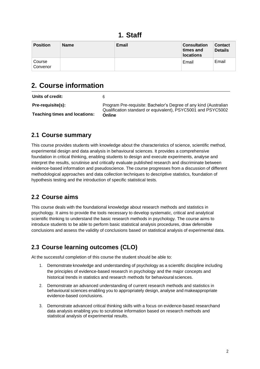### **1. Staff**

| <b>Position</b>    | <b>Name</b> | <b>Email</b> | <b>Consultation</b><br>times and<br><b>locations</b> | <b>Contact</b><br><b>Details</b> |
|--------------------|-------------|--------------|------------------------------------------------------|----------------------------------|
| Course<br>Convenor |             |              | Email                                                | Email                            |

## **2. Course information**

| Units of credit:                     |                                                                                                                                  |
|--------------------------------------|----------------------------------------------------------------------------------------------------------------------------------|
| Pre-requisite(s):                    | Program Pre-requisite: Bachelor's Degree of any kind (Australian<br>Qualification standard or equivalent), PSYC5001 and PSYC5002 |
| <b>Teaching times and locations:</b> | Online                                                                                                                           |

#### **2.1 Course summary**

This course provides students with knowledge about the characteristics of science, scientific method, experimental design and data analysis in behavioural sciences. It provides a comprehensive foundation in critical thinking, enabling students to design and execute experiments, analyse and interpret the results, scrutinise and critically evaluate published research and discriminate between evidence-based information and pseudoscience. The course progresses from a discussion of different methodological approaches and data collection techniques to descriptive statistics, foundation of hypothesis testing and the introduction of specific statistical tests.

#### **2.2 Course aims**

This course deals with the foundational knowledge about research methods and statistics in psychology. It aims to provide the tools necessary to develop systematic, critical and analytical scientific thinking to understand the basic research methods in psychology. The course aims to introduce students to be able to perform basic statistical analysis procedures, draw defensible conclusions and assess the validity of conclusions based on statistical analysis of experimental data.

### **2.3 Course learning outcomes (CLO)**

At the successful completion of this course the student should be able to:

- 1. Demonstrateknowledge and understanding of psychology as a scientific discipline including the principles of evidence-based research in psychology and the major concepts and historical trends in statistics and research methods for behavioural sciences.
- 2. Demonstrate an advanced understanding of current research methods and statistics in behavioural sciences enabling you to appropriately design, analyse and makeappropriate evidence-based conclusions.
- 3. Demonstrate advanced critical thinking skills with a focus on evidence-based researchand data analysis enabling you to scrutinise information based on research methods and statistical analysis of experimental results.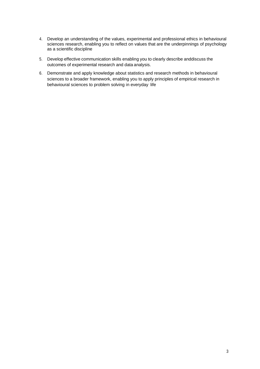- 4. Develop an understanding of the values, experimental and professional ethics in behavioural sciences research, enabling you to reflect on values that are the underpinnings of psychology as a scientific discipline
- 5. Develop effective communication skills enabling you to clearly describe anddiscuss the outcomes of experimental research and data analysis.
- 6. Demonstrate and apply knowledge about statistics and research methods in behavioural sciences to a broader framework, enabling you to apply principles of empirical research in behavioural sciences to problem solving in everyday life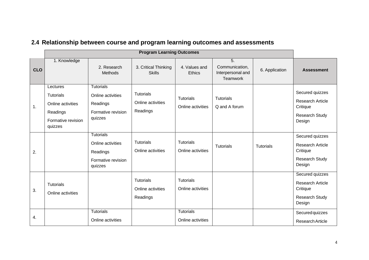|            | <b>Program Learning Outcomes</b>                                                               |                                                                                    |                                                   |                                       |                                                       |                  |                                                                                           |
|------------|------------------------------------------------------------------------------------------------|------------------------------------------------------------------------------------|---------------------------------------------------|---------------------------------------|-------------------------------------------------------|------------------|-------------------------------------------------------------------------------------------|
| <b>CLO</b> | 1. Knowledge                                                                                   | 2. Research<br>Methods                                                             | 3. Critical Thinking<br><b>Skills</b>             | 4. Values and<br>Ethics               | 5.<br>Communication,<br>Interpersonal and<br>Teamwork | 6. Application   | <b>Assessment</b>                                                                         |
| 1.         | Lectures<br><b>Tutorials</b><br>Online activities<br>Readings<br>Formative revision<br>quizzes | <b>Tutorials</b><br>Online activities<br>Readings<br>Formative revision<br>quizzes | <b>Tutorials</b><br>Online activities<br>Readings | <b>Tutorials</b><br>Online activities | Tutorials<br>Q and A forum                            |                  | Secured quizzes<br><b>Research Article</b><br>Critique<br><b>Research Study</b><br>Design |
| 2.         |                                                                                                | <b>Tutorials</b><br>Online activities<br>Readings<br>Formative revision<br>quizzes | <b>Tutorials</b><br>Online activities             | <b>Tutorials</b><br>Online activities | <b>Tutorials</b>                                      | <b>Tutorials</b> | Secured quizzes<br><b>Research Article</b><br>Critique<br><b>Research Study</b><br>Design |
| 3.         | <b>Tutorials</b><br>Online activities                                                          |                                                                                    | <b>Tutorials</b><br>Online activities<br>Readings | <b>Tutorials</b><br>Online activities |                                                       |                  | Secured quizzes<br><b>Research Article</b><br>Critique<br><b>Research Study</b><br>Design |
| 4.         |                                                                                                | <b>Tutorials</b><br>Online activities                                              |                                                   | <b>Tutorials</b><br>Online activities |                                                       |                  | Secured quizzes<br>Research Article                                                       |

## **2.4 Relationship between course and program learning outcomes and assessments**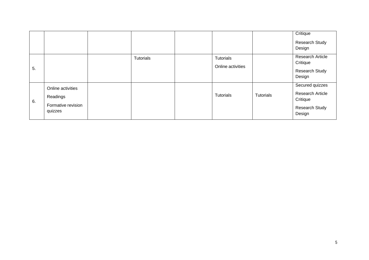|    |                                                                |           |                                |           | Critique<br><b>Research Study</b><br>Design                                               |
|----|----------------------------------------------------------------|-----------|--------------------------------|-----------|-------------------------------------------------------------------------------------------|
| 5. |                                                                | Tutorials | Tutorials<br>Online activities |           | <b>Research Article</b><br>Critique<br><b>Research Study</b><br>Design                    |
| 6. | Online activities<br>Readings<br>Formative revision<br>quizzes |           | <b>Tutorials</b>               | Tutorials | Secured quizzes<br><b>Research Article</b><br>Critique<br><b>Research Study</b><br>Design |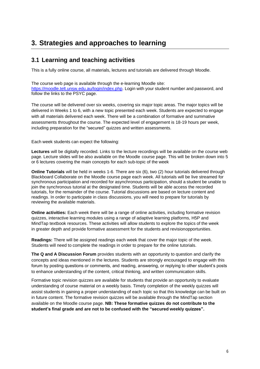## **3. Strategies and approaches to learning**

#### **3.1 Learning and teaching activities**

This is a fully online course, all materials, lectures and tutorials are delivered through Moodle.

The course web page is available through the e-learning Moodle site: [https://moodle.telt.unsw.edu.au/login/index.php.](https://moodle.telt.unsw.edu.au/login/index.php) Login with your student number and password, and follow the links to the PSYC page.

The course will be delivered over six weeks, covering six major topic areas. The major topics will be delivered in Weeks 1 to 6, with a new topic presented each week. Students are expected to engage with all materials delivered each week. There will be a combination of formative and summative assessments throughout the course. The expected level of engagement is 18-19 hours per week, including preparation for the "secured" quizzes and written assessments.

Each week students can expect the following:

**Lectures** will be digitally recorded. Links to the lecture recordings will be available on the course web page. Lecture slides will be also available on the Moodle course page. This will be broken down into 5 or 6 lectures covering the main concepts for each sub-topic of the week

**Online Tutorials** will be held in weeks 1-6. There are six (6), two (2) hour tutorials delivered through Blackboard Collaborate on the Moodle course page each week. All tutorials will be live streamed for synchronous participation and recorded for asynchronous participation, should a student be unable to join the synchronous tutorial at the designated time. Students will be able access the recorded tutorials, for the remainder of the course. Tutorial discussions are based on lecture content and readings. In order to participate in class discussions, you will need to prepare for tutorials by reviewing the available materials.

**Online activities:** Each week there will be a range of online activities, including formative revision quizzes, interactive learning modules using a range of adaptive learning platforms, H5P and MindTap textbook resources. These activities will allow students to explore the topics of the week in greater depth and provide formative assessment for the students and revisionopportunities.

**Readings:** There will be assigned readings each week that cover the major topic of the week. Students will need to complete the readings in order to prepare for the online tutorials.

**The Q and A Discussion Forum** provides students with an opportunity to question and clarify the concepts and ideas mentioned in the lectures. Students are strongly encouraged to engage with this forum by posting questions or comments, and reading, answering, or replying to other student's posts to enhance understanding of the content, critical thinking, and written communication skills.

Formative topic revision quizzes are available for students that provide an opportunity to evaluate understanding of course material on a weekly basis. Timely completion of the weekly quizzes will assist students in gaining a proper understanding of each topic so that this knowledge can be built on in future content. The formative revision quizzes will be available through the MindTap section available on the Moodle course page. **NB: These formative quizzes do not contribute to the student's final grade and are not to be confused with the "secured weekly quizzes".**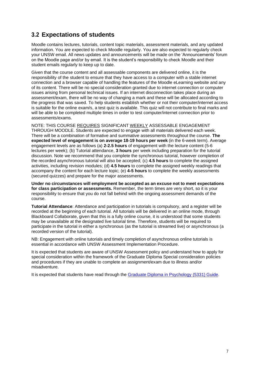#### **3.2 Expectations of students**

Moodle contains lectures, tutorials, content topic materials, assessment materials, and any updated information. You are expected to check Moodle regularly. You are also expected to regularly check your UNSW email. All news updates and announcements will be made on the 'Announcements' forum on the Moodle page and/or by email. It is the student's responsibility to check Moodle and their student emails regularly to keep up to date.

Given that the course content and all assessable components are delivered online, it is the responsibility of the student to ensure that they have access to a computer with a stable internet connection and a browser capable of handling the features of the Moodle eLearning website and any of its content. There will be no special consideration granted due to internet connection or computer issues arising from personal technical issues. If an internet disconnection takes place during an assessment/exam, there will be no way of changing a mark and these will be allocated according to the progress that was saved. To help students establish whether or not their computer/internet access is suitable for the online exam/s, a test quiz is available. This quiz will not contribute to final marks and will be able to be completed multiple times in order to test computer/internet connection prior to assessments/exams.

NOTE: THIS COURSE REQUIRES SIGNIFICANT WEEKLY ASSESSABLE ENGAGEMENT THROUGH MOODLE. Students are expected to engage with all materials delivered each week. There will be a combination of formative and summative assessments throughout the course. **The expected level of engagement is on average 18-19 hours per week** (in the 6-week term). Average engagement levels are as follows (a) **2-2.5 hours** of engagement with the lecture content (5-6 lectures per week); (b) Tutorial attendance, **3 hours** per week including preparation for the tutorial discussion. Note we recommend that you complete the synchronous tutorial, however completion of the recorded asynchronous tutorial will also be accepted; (c) **4.5 hours** to complete the assigned activities, including revision modules; (d) **4.5 hours** to complete the assigned weekly readings that accompany the content for each lecture topic; (e) **4-5 hours** to complete the weekly assessments (secured quizzes) and prepare for the major assessments.

**Under no circumstances will employment be accepted as an excuse not to meet expectations for class participation or assessments.** Remember, the term times are very short, so it is your responsibility to ensure that you do not fall behind with the ongoing assessment demands of the course.

**Tutorial Attendance**: Attendance and participation in tutorials is compulsory, and a register will be recorded at the beginning of each tutorial. All tutorials will be delivered in an online mode, through Blackboard Collaborate, given that this is a fully online course, it is understood that some students may be unavailable at the designated live tutorial time. Therefore, students will be required to participate in the tutorial in either a synchronous (as the tutorial is streamed live) or asynchronous (a recorded version of the tutorial).

NB: Engagement with online tutorials and timely completion of asynchronous online tutorials is essential in accordance with UNSW Assessment Implementation Procedure.

It is expected that students are aware of UNSW Assessment policy and understand how to apply for special consideration within the framework of the Graduate Diploma Special consideration policies and procedures if they are unable to complete an assignment/exam due to illness and/or misadventure.

It is expected that students have read through the Graduate Diploma in [Psychology](https://www.psy.unsw.edu.au/sites/all/files/5331%20GUIDE%20-%202019.pdf) (5331) Guide.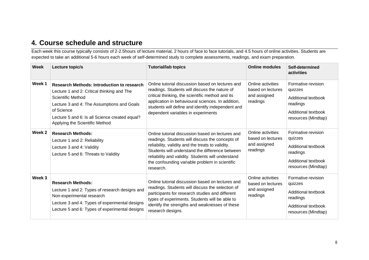#### **4. Course schedule and structure**

Each week this course typically consists of 2-2.5hours of lecture material, 2 hours of face to face tutorials, and 4.5 hours of online activities. Students are expected to take an additional 5-6 hours each week of self-determined study to complete assessments, readings, and exam preparation.

| <b>Week</b>       | Lecture topic/s                                                                                                                                                                                                                                                      | <b>Tutorial/lab topics</b>                                                                                                                                                                                                                                                                                                       | <b>Online modules</b>                                              | Self-determined<br>activities                                                                                  |
|-------------------|----------------------------------------------------------------------------------------------------------------------------------------------------------------------------------------------------------------------------------------------------------------------|----------------------------------------------------------------------------------------------------------------------------------------------------------------------------------------------------------------------------------------------------------------------------------------------------------------------------------|--------------------------------------------------------------------|----------------------------------------------------------------------------------------------------------------|
| Week <sub>1</sub> | <b>Research Methods: Introduction to research</b><br>Lecture 1 and 2: Critical thinking and The<br>Scientific Method<br>Lecture 3 and 4: The Assumptions and Goals<br>of Science<br>Lecture 5 and 6: Is all Science created equal?<br>Applying the Scientific Method | Online tutorial discussion based on lectures and<br>readings. Students will discuss the nature of<br>critical thinking, the scientific method and its<br>application in behavioural sciences. In addition,<br>students will define and identify independent and<br>dependent variables in experiments                            | Online activities<br>based on lectures<br>and assigned<br>readings | Formative revision<br>quizzes<br>Additional textbook<br>readings<br>Additional textbook<br>resources (Mindtap) |
| Week 2            | <b>Research Methods:</b><br>Lecture 1 and 2: Reliability<br>Lecture 3 and 4: Validity<br>Lecture 5 and 6: Threats to Validity                                                                                                                                        | Online tutorial discussion based on lectures and<br>readings. Students will discuss the concepts of<br>reliability, validity and the treats to validity.<br>Students will understand the difference between<br>reliability and validity. Students will understand<br>the confounding variable problem in scientific<br>research. | Online activities<br>based on lectures<br>and assigned<br>readings | Formative revision<br>quizzes<br>Additional textbook<br>readings<br>Additional textbook<br>resources (Mindtap) |
| Week <sub>3</sub> | <b>Research Methods:</b><br>Lecture 1 and 2: Types of research designs and<br>Non-experimental research<br>Lecture 3 and 4: Types of experimental designs<br>Lecture 5 and 6: Types of experimental designs                                                          | Online tutorial discussion based on lectures and<br>readings. Students will discuss the selection of<br>participants for research studies and different<br>types of experiments. Students will be able to<br>identify the strengths and weaknesses of these<br>research designs.                                                 | Online activities<br>based on lectures<br>and assigned<br>readings | Formative revision<br>quizzes<br>Additional textbook<br>readings<br>Additional textbook<br>resources (Mindtap) |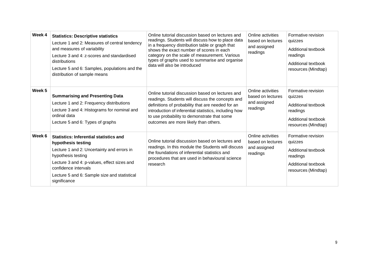| Week 4            | <b>Statistics: Descriptive statistics</b><br>Lecture 1 and 2: Measures of central tendency<br>and measures of variability<br>Lecture 3 and 4: z-scores and standardised<br>distributions<br>Lecture 5 and 6: Samples, populations and the<br>distribution of sample means      | Online tutorial discussion based on lectures and<br>readings. Students will discuss how to place data<br>in a frequency distribution table or graph that<br>shows the exact number of scores in each<br>category on the scale of measurement. Various<br>types of graphs used to summarise and organise<br>data will also be introduced | Online activities<br>based on lectures<br>and assigned<br>readings | Formative revision<br>quizzes<br>Additional textbook<br>readings<br>Additional textbook<br>resources (Mindtap) |
|-------------------|--------------------------------------------------------------------------------------------------------------------------------------------------------------------------------------------------------------------------------------------------------------------------------|-----------------------------------------------------------------------------------------------------------------------------------------------------------------------------------------------------------------------------------------------------------------------------------------------------------------------------------------|--------------------------------------------------------------------|----------------------------------------------------------------------------------------------------------------|
| Week <sub>5</sub> | <b>Summarising and Presenting Data</b><br>Lecture 1 and 2: Frequency distributions<br>Lecture 3 and 4: Histograms for nominal and<br>ordinal data<br>Lecture 5 and 6: Types of graphs                                                                                          | Online tutorial discussion based on lectures and<br>readings. Students will discuss the concepts and<br>definitions of probability that are needed for an<br>introduction of inferential statistics, including how<br>to use probability to demonstrate that some<br>outcomes are more likely than others.                              | Online activities<br>based on lectures<br>and assigned<br>readings | Formative revision<br>quizzes<br>Additional textbook<br>readings<br>Additional textbook<br>resources (Mindtap) |
| Week 6            | <b>Statistics: Inferential statistics and</b><br>hypothesis testing<br>Lecture 1 and 2: Uncertainty and errors in<br>hypothesis testing<br>Lecture 3 and 4: p-values, effect sizes and<br>confidence intervals<br>Lecture 5 and 6: Sample size and statistical<br>significance | Online tutorial discussion based on lectures and<br>readings. In this module the Students will discuss<br>the foundations of inferential statistics and<br>procedures that are used in behavioural science<br>research                                                                                                                  | Online activities<br>based on lectures<br>and assigned<br>readings | Formative revision<br>quizzes<br>Additional textbook<br>readings<br>Additional textbook<br>resources (Mindtap) |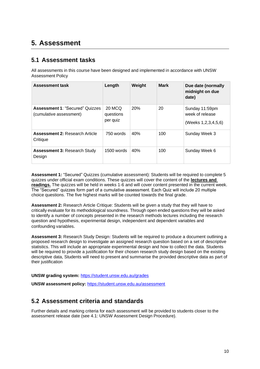## **5. Assessment**

#### **5.1 Assessment tasks**

All assessments in this course have been designed and implemented in accordance with UNSW Assessment Policy

| <b>Assessment task</b>                                            | Length                          | Weight | <b>Mark</b> | Due date (normally<br>midnight on due<br>date)                |
|-------------------------------------------------------------------|---------------------------------|--------|-------------|---------------------------------------------------------------|
| <b>Assessment 1: "Secured" Quizzes</b><br>(cumulative assessment) | 20 MCQ<br>questions<br>per quiz | 20%    | 20          | Sunday 11:59pm<br>week of release<br>(Weeks 1, 2, 3, 4, 5, 6) |
| <b>Assessment 2: Research Article</b><br>Critique                 | 750 words                       | 40%    | 100         | Sunday Week 3                                                 |
| <b>Assessment 3: Research Study</b><br>Design                     | $1500$ words                    | 40%    | 100         | Sunday Week 6                                                 |

**Assessment 1:** "Secured" Quizzes (cumulative assessment): Students will be required to complete 5 quizzes under official exam conditions. These quizzes will cover the content of the **lectures and readings.** The quizzes will be held in weeks 1-6 and will cover content presented in the current week. The "Secured" quizzes form part of a cumulative assessment. Each Quiz will include 20 multiple choice questions. The five highest marks will be counted towards the final grade.

**Assessment 2:** Research Article Critique: Students will be given a study that they will have to criticallyevaluate for its methodological soundness. Through open ended questions they will be asked to identify a number of concepts presented in the research methods lectures including the research question and hypothesis, experimental design, independent and dependent variables and confounding variables.

**Assessment 3:** Research Study Design**:** Students will be required to produce a document outlining a proposed research design to investigate an assigned research question based on a set of descriptive statistics. This will include an appropriate experimental design and how to collect the data. Students will be required to provide a justification for their chosen research study design based on the existing descriptive data, Students will need to present and summarise the provided descriptive data as part of their justification

**UNSW grading system:** <https://student.unsw.edu.au/grades>

**UNSW assessment policy:** <https://student.unsw.edu.au/assessment>

#### **5.2 Assessment criteria and standards**

Further details and marking criteria for each assessment will be provided to students closer to the assessment release date (see 4.1: UNSW Assessment Design Procedure).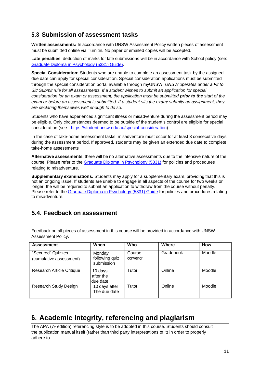#### **5.3 Submission of assessment tasks**

**Written assessments:** In accordance with UNSW Assessment Policy written pieces of assessment must be submitted online via Turnitin. No paper or emailed copies will be accepted.

**Late penalties**: deduction of marks for late submissions will be in accordance with School policy (see: Graduate Diploma in [Psychology](https://www.psy.unsw.edu.au/sites/all/files/5331%20GUIDE%20-%202019.pdf) (5331) Guide).

**Special Consideration:** Students who are unable to complete an assessment task by the assigned due date can apply for special consideration. Special consideration applications must be submitted through the special consideration portal available through myUNSW. *UNSW operates under a Fit to Sit/ Submit rule for all assessments. If a student wishes to submit an application for special consideration for an exam or assessment, the application must be submitted prior to the start of the exam or before an assessment is submitted. If a student sits the exam/ submits an assignment, they are declaring themselves well enough to do so.*

Students who have experienced significant illness or misadventure during the assessment period may be eligible. Only circumstances deemed to be outside of the student's control are eligible for special consideration (see - [https://student.unsw.edu.au/special-consideration\)](https://student.unsw.edu.au/special-consideration)

In the case of take-home assessment tasks, misadventure must occur for at least 3 consecutive days during the assessment period. If approved, students may be given an extended due date to complete take-home assessments

**Alternative assessments**: there will be no alternative assessments due to the intensive nature of the course. Please refer to the [Graduate Diploma in Psychology \(5331\)](https://www.psy.unsw.edu.au/sites/all/files/5331%20GUIDE%20-%202019.pdf) for policies and procedures relating to misadventure.

**Supplementary examinations:** Students may apply for a supplementary exam, providing that this is not an ongoing issue. If students are unable to engage in all aspects of the course for two weeks or longer, the will be required to submit an application to withdraw from the course without penalty. Please refer to the Graduate Diploma in [Psychology](https://www.psy.unsw.edu.au/sites/all/files/5331%20GUIDE%20-%202019.pdf) (5331) Guide for policies and procedures relating to misadventure.

#### **5.4. Feedback on assessment**

| <b>Assessment</b>                            | When                                   | Who                | Where     | <b>How</b> |
|----------------------------------------------|----------------------------------------|--------------------|-----------|------------|
| "Secured" Quizzes<br>(cumulative assessment) | Monday<br>following quiz<br>submission | Course<br>convenor | Gradebook | Moodle     |
| <b>Research Article Critique</b>             | 10 days<br>after the<br>due date       | Tutor              | Online    | Moodle     |
| Research Study Design                        | 10 days after<br>The due date          | Tutor              | Online    | Moodle     |

Feedback on all pieces of assessment in this course will be provided in accordance with UNSW Assessment Policy.

## **6. Academic integrity, referencing and plagiarism**

The APA (7th edition) referencing style is to be adopted in this course. Students should consult the publication manual itself (rather than third party interpretations of it) in order to properly adhere to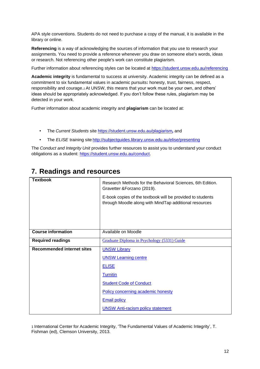APA style conventions. Students do not need to purchase a copy of the manual, it is available in the library or online.

**Referencing** is a way of acknowledging the sources of information that you use to research your [assignments.](http://www.apastyle.org/manual/index.aspx) You need to provide a reference whenever you draw on someone else's words, ideas or research. Not referencing other people's work can constitute plagiarism.

Further information about referencing styles can be located at https://student.unsw.edu.au/referencing

**Academic integrity** is fundamental to success at university. Academic integrity can be defined as a commitment to six fundamental values in academic pursuits**:** [honesty, trust, fairness, respect,](https://student.unsw.edu.au/referencing) responsibility and courage.*1* At UNSW, this means that your work must be your own, and others' ideas should be appropriately acknowledged. If you don't follow these rules, plagiarism may be detected in your work.

Further information about academic integrity and **plagiarism** can be located at:

- The *Current Students* site <https://student.unsw.edu.au/plagiarism>*,* and
- The *ELISE* training site http://subjectguides.library.unsw.edu.au/elise/presenting

The *Conduct and Integrity Unit* provides further resources to assist you to understand your conduct obligations as a student: [https://student.unsw.edu.au/conduct.](https://student.unsw.edu.au/conduct)

|  |  |  | 7. Readings and resources |  |
|--|--|--|---------------------------|--|
|  |  |  |                           |  |
|  |  |  |                           |  |

| <b>Textbook</b>                   | Research Methods for the Behavioral Sciences, 6th Edition.<br>Gravetter & Forzano (2019).                            |
|-----------------------------------|----------------------------------------------------------------------------------------------------------------------|
|                                   | E-book copies of the textbook will be provided to students<br>through Moodle along with MindTap additional resources |
|                                   |                                                                                                                      |
| <b>Course information</b>         | Available on Moodle                                                                                                  |
| <b>Required readings</b>          | Graduate Diploma in Psychology (5331) Guide                                                                          |
| <b>Recommended internet sites</b> | <b>UNSW Library</b>                                                                                                  |
|                                   | <b>UNSW Learning centre</b>                                                                                          |
|                                   | <b>ELISE</b>                                                                                                         |
|                                   | <b>Turnitin</b>                                                                                                      |
|                                   | <b>Student Code of Conduct</b>                                                                                       |
|                                   | Policy concerning academic honesty                                                                                   |
|                                   | <b>Email policy</b>                                                                                                  |
|                                   | <b>UNSW Anti-racism policy statement</b>                                                                             |

1 International Center for Academic Integrity, 'The Fundamental Values of Academic Integrity', T. Fishman (ed), Clemson University, 2013.